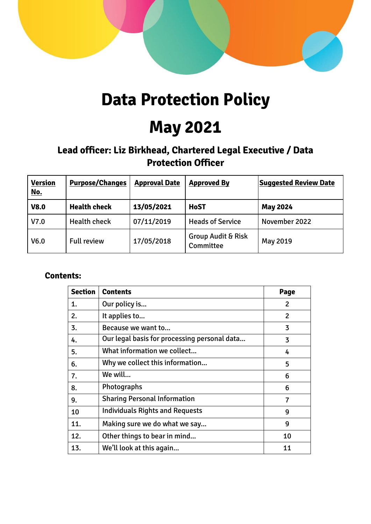

# **Data Protection Policy**

# **May 2021**

# **Lead officer: Liz Birkhead, Chartered Legal Executive / Data Protection Officer**

| <b>Version</b><br><u>No.</u> | <b>Purpose/Changes</b> | <b>Approval Date</b> | <b>Approved By</b>                         | <b>Suggested Review Date</b> |
|------------------------------|------------------------|----------------------|--------------------------------------------|------------------------------|
| <b>V8.0</b>                  | <b>Health check</b>    | 13/05/2021           | <b>HoST</b>                                | <b>May 2024</b>              |
| V7.0                         | <b>Health check</b>    | 07/11/2019           | <b>Heads of Service</b>                    | November 2022                |
| V <sub>6.0</sub>             | <b>Full review</b>     | 17/05/2018           | <b>Group Audit &amp; Risk</b><br>Committee | May 2019                     |

# **Contents:**

| <b>Section</b> | <b>Contents</b>                              | Page           |
|----------------|----------------------------------------------|----------------|
| 1.             | Our policy is                                | 2              |
| 2.             | It applies to                                | $\mathfrak{p}$ |
| 3.             | Because we want to                           | 3              |
| 4.             | Our legal basis for processing personal data | 3              |
| 5.             | What information we collect                  | 4              |
| 6.             | Why we collect this information              | 5              |
| 7.             | We will                                      | 6              |
| 8.             | Photographs                                  | 6              |
| 9.             | <b>Sharing Personal Information</b>          | $\overline{7}$ |
| 10             | <b>Individuals Rights and Requests</b>       | 9              |
| 11.            | Making sure we do what we say                | 9              |
| 12.            | Other things to bear in mind                 | 10             |
| 13.            | We'll look at this again                     | 11             |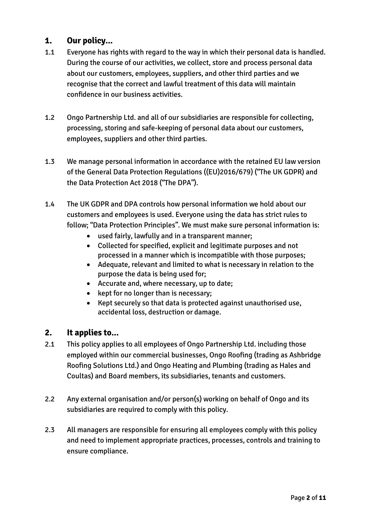# **1. Our policy...**

- 1.1 Everyone has rights with regard to the way in which their personal data is handled. During the course of our activities, we collect, store and process personal data about our customers, employees, suppliers, and other third parties and we recognise that the correct and lawful treatment of this data will maintain confidence in our business activities.
- 1.2 Ongo Partnership Ltd. and all of our subsidiaries are responsible for collecting, processing, storing and safe-keeping of personal data about our customers, employees, suppliers and other third parties.
- 1.3 We manage personal information in accordance with the retained EU law version of the General Data Protection Regulations ((EU)2016/679) ("The UK GDPR) and the Data Protection Act 2018 ("The DPA").
- 1.4 The UK GDPR and DPA controls how personal information we hold about our customers and employees is used. Everyone using the data has strict rules to follow; "Data Protection Principles". We must make sure personal information is:
	- used fairly, lawfully and in a transparent manner;
	- Collected for specified, explicit and legitimate purposes and not processed in a manner which is incompatible with those purposes;
	- Adequate, relevant and limited to what is necessary in relation to the purpose the data is being used for;
	- Accurate and, where necessary, up to date;
	- kept for no longer than is necessary;
	- Kept securely so that data is protected against unauthorised use, accidental loss, destruction or damage.

# **2. It applies to...**

- 2.1 This policy applies to all employees of Ongo Partnership Ltd. including those employed within our commercial businesses, Ongo Roofing (trading as Ashbridge Roofing Solutions Ltd.) and Ongo Heating and Plumbing (trading as Hales and Coultas) and Board members, its subsidiaries, tenants and customers.
- 2.2 Any external organisation and/or person(s) working on behalf of Ongo and its subsidiaries are required to comply with this policy.
- 2.3 All managers are responsible for ensuring all employees comply with this policy and need to implement appropriate practices, processes, controls and training to ensure compliance.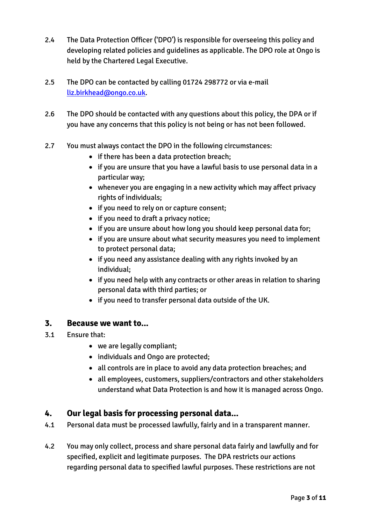- 2.4 The Data Protection Officer ('DPO') is responsible for overseeing this policy and developing related policies and guidelines as applicable. The DPO role at Ongo is held by the Chartered Legal Executive.
- 2.5 The DPO can be contacted by calling 01724 298772 or via e-mail [liz.birkhead@ongo.co.uk.](mailto:liz.birkhead@ongo.co.uk)
- 2.6 The DPO should be contacted with any questions about this policy, the DPA or if you have any concerns that this policy is not being or has not been followed.
- 2.7 You must always contact the DPO in the following circumstances:
	- if there has been a data protection breach;
	- if you are unsure that you have a lawful basis to use personal data in a particular way;
	- whenever you are engaging in a new activity which may affect privacy rights of individuals;
	- if you need to rely on or capture consent;
	- if you need to draft a privacy notice;
	- if you are unsure about how long you should keep personal data for;
	- if you are unsure about what security measures you need to implement to protect personal data;
	- if you need any assistance dealing with any rights invoked by an individual;
	- if you need help with any contracts or other areas in relation to sharing personal data with third parties; or
	- if you need to transfer personal data outside of the UK.

#### **3. Because we want to...**

- 3.1 Ensure that:
	- we are legally compliant;
	- individuals and Ongo are protected;
	- all controls are in place to avoid any data protection breaches; and
	- all employees, customers, suppliers/contractors and other stakeholders understand what Data Protection is and how it is managed across Ongo.

# **4. Our legal basis for processing personal data...**

- 4.1 Personal data must be processed lawfully, fairly and in a transparent manner.
- 4.2 You may only collect, process and share personal data fairly and lawfully and for specified, explicit and legitimate purposes. The DPA restricts our actions regarding personal data to specified lawful purposes. These restrictions are not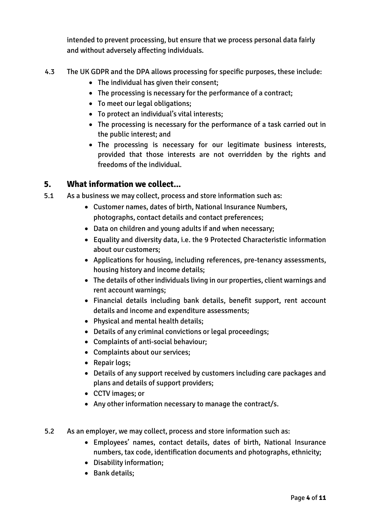intended to prevent processing, but ensure that we process personal data fairly and without adversely affecting individuals.

- 4.3 The UK GDPR and the DPA allows processing for specific purposes, these include:
	- The individual has given their consent;
	- The processing is necessary for the performance of a contract;
	- To meet our legal obligations;
	- To protect an individual's vital interests;
	- The processing is necessary for the performance of a task carried out in the public interest; and
	- The processing is necessary for our legitimate business interests, provided that those interests are not overridden by the rights and freedoms of the individual.

# **5. What information we collect...**

- 5.1 As a business we may collect, process and store information such as:
	- Customer names, dates of birth, National Insurance Numbers, photographs, contact details and contact preferences;
	- Data on children and young adults if and when necessary;
	- Equality and diversity data, i.e. the 9 Protected Characteristic information about our customers;
	- Applications for housing, including references, pre-tenancy assessments, housing history and income details;
	- The details of other individuals living in our properties, client warnings and rent account warnings;
	- Financial details including bank details, benefit support, rent account details and income and expenditure assessments;
	- Physical and mental health details;
	- Details of any criminal convictions or legal proceedings;
	- Complaints of anti-social behaviour;
	- Complaints about our services;
	- Repair logs;
	- Details of any support received by customers including care packages and plans and details of support providers;
	- CCTV images; or
	- Any other information necessary to manage the contract/s.
- 5.2 As an employer, we may collect, process and store information such as:
	- Employees' names, contact details, dates of birth, National Insurance numbers, tax code, identification documents and photographs, ethnicity;
	- Disability information;
	- Bank details;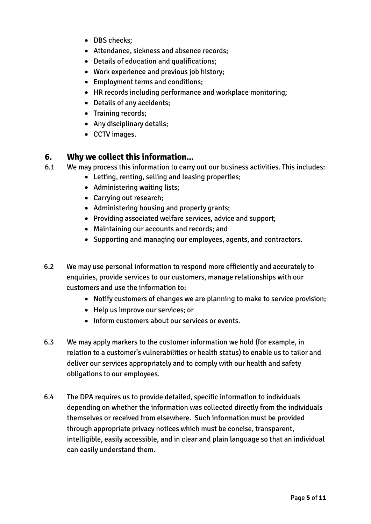- DBS checks:
- Attendance, sickness and absence records;
- Details of education and qualifications;
- Work experience and previous job history;
- Employment terms and conditions;
- HR records including performance and workplace monitoring;
- Details of any accidents;
- Training records;
- Any disciplinary details;
- CCTV images.

#### **6. Why we collect this information...**

- 6.1 We may process this information to carry out our business activities. This includes:
	- Letting, renting, selling and leasing properties;
	- Administering waiting lists;
	- Carrying out research;
	- Administering housing and property grants;
	- Providing associated welfare services, advice and support;
	- Maintaining our accounts and records; and
	- Supporting and managing our employees, agents, and contractors.
- 6.2 We may use personal information to respond more efficiently and accurately to enquiries, provide services to our customers, manage relationships with our customers and use the information to:
	- Notify customers of changes we are planning to make to service provision;
	- Help us improve our services; or
	- Inform customers about our services or events.
- 6.3 We may apply markers to the customer information we hold (for example, in relation to a customer's vulnerabilities or health status) to enable us to tailor and deliver our services appropriately and to comply with our health and safety obligations to our employees.
- 6.4 The DPA requires us to provide detailed, specific information to individuals depending on whether the information was collected directly from the individuals themselves or received from elsewhere. Such information must be provided through appropriate privacy notices which must be concise, transparent, intelligible, easily accessible, and in clear and plain language so that an individual can easily understand them.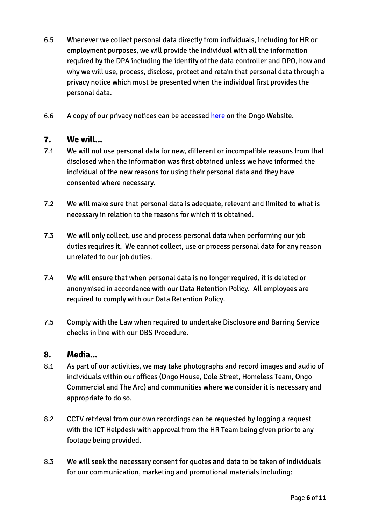- 6.5 Whenever we collect personal data directly from individuals, including for HR or employment purposes, we will provide the individual with all the information required by the DPA including the identity of the data controller and DPO, how and why we will use, process, disclose, protect and retain that personal data through a privacy notice which must be presented when the individual first provides the personal data.
- 6.6 A copy of our privacy notices can be accessed [here](https://www.ongo.co.uk/about-ongo/corporate-information/our-policies/#panel2b-59693566) on the Ongo Website.

# **7. We will...**

- 7.1 We will not use personal data for new, different or incompatible reasons from that disclosed when the information was first obtained unless we have informed the individual of the new reasons for using their personal data and they have consented where necessary.
- 7.2 We will make sure that personal data is adequate, relevant and limited to what is necessary in relation to the reasons for which it is obtained.
- 7.3 We will only collect, use and process personal data when performing our job duties requires it. We cannot collect, use or process personal data for any reason unrelated to our job duties.
- 7.4 We will ensure that when personal data is no longer required, it is deleted or anonymised in accordance with our Data Retention Policy. All employees are required to comply with our Data Retention Policy.
- 7.5 Comply with the Law when required to undertake Disclosure and Barring Service checks in line with our DBS Procedure.

#### **8. Media...**

- 8.1 As part of our activities, we may take photographs and record images and audio of individuals within our offices (Ongo House, Cole Street, Homeless Team, Ongo Commercial and The Arc) and communities where we consider it is necessary and appropriate to do so.
- 8.2 CCTV retrieval from our own recordings can be requested by logging a request with the ICT Helpdesk with approval from the HR Team being given prior to any footage being provided.
- 8.3 We will seek the necessary consent for quotes and data to be taken of individuals for our communication, marketing and promotional materials including: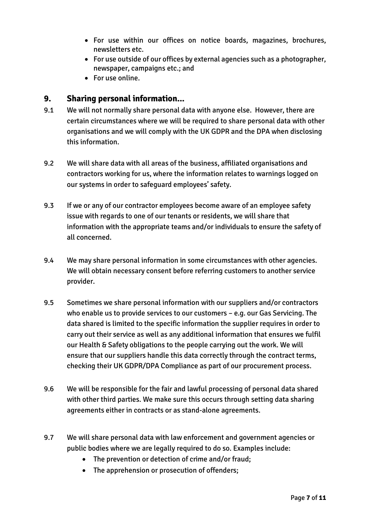- For use within our offices on notice boards, magazines, brochures, newsletters etc.
- For use outside of our offices by external agencies such as a photographer, newspaper, campaigns etc.; and
- For use online.

### **9. Sharing personal information...**

- 9.1 We will not normally share personal data with anyone else. However, there are certain circumstances where we will be required to share personal data with other organisations and we will comply with the UK GDPR and the DPA when disclosing this information.
- 9.2 We will share data with all areas of the business, affiliated organisations and contractors working for us, where the information relates to warnings logged on our systems in order to safeguard employees' safety.
- 9.3 If we or any of our contractor employees become aware of an employee safety issue with regards to one of our tenants or residents, we will share that information with the appropriate teams and/or individuals to ensure the safety of all concerned.
- 9.4 We may share personal information in some circumstances with other agencies. We will obtain necessary consent before referring customers to another service provider.
- 9.5 Sometimes we share personal information with our suppliers and/or contractors who enable us to provide services to our customers – e.g. our Gas Servicing. The data shared is limited to the specific information the supplier requires in order to carry out their service as well as any additional information that ensures we fulfil our Health & Safety obligations to the people carrying out the work. We will ensure that our suppliers handle this data correctly through the contract terms, checking their UK GDPR/DPA Compliance as part of our procurement process.
- 9.6 We will be responsible for the fair and lawful processing of personal data shared with other third parties. We make sure this occurs through setting data sharing agreements either in contracts or as stand-alone agreements.
- 9.7 We will share personal data with law enforcement and government agencies or public bodies where we are legally required to do so. Examples include:
	- The prevention or detection of crime and/or fraud;
	- The apprehension or prosecution of offenders;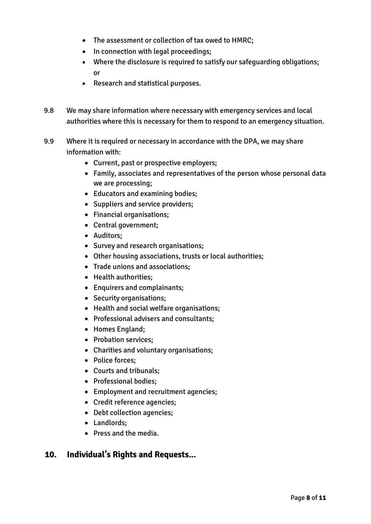- The assessment or collection of tax owed to HMRC;
- In connection with legal proceedings;
- Where the disclosure is required to satisfy our safeguarding obligations; or
- Research and statistical purposes.
- 9.8 We may share information where necessary with emergency services and local authorities where this is necessary for them to respond to an emergency situation.
- 9.9 Where it is required or necessary in accordance with the DPA, we may share information with:
	- Current, past or prospective employers;
	- Family, associates and representatives of the person whose personal data we are processing;
	- Educators and examining bodies;
	- Suppliers and service providers;
	- Financial organisations;
	- Central government;
	- Auditors;
	- Survey and research organisations;
	- Other housing associations, trusts or local authorities;
	- Trade unions and associations;
	- Health authorities;
	- Enquirers and complainants;
	- Security organisations;
	- Health and social welfare organisations;
	- Professional advisers and consultants;
	- Homes England;
	- Probation services;
	- Charities and voluntary organisations;
	- Police forces:
	- Courts and tribunals;
	- Professional bodies;
	- Employment and recruitment agencies;
	- Credit reference agencies;
	- Debt collection agencies;
	- Landlords;
	- Press and the media.

# **10. Individual's Rights and Requests...**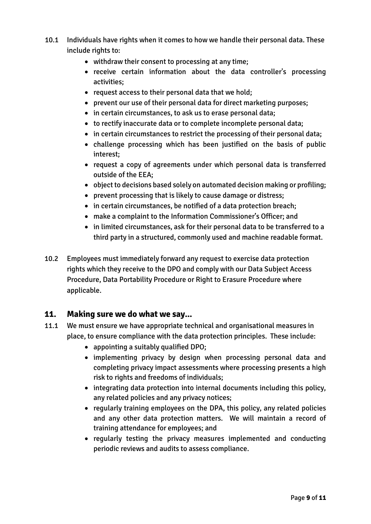- 10.1 Individuals have rights when it comes to how we handle their personal data. These include rights to:
	- withdraw their consent to processing at any time;
	- receive certain information about the data controller's processing activities;
	- request access to their personal data that we hold;
	- prevent our use of their personal data for direct marketing purposes;
	- in certain circumstances, to ask us to erase personal data;
	- to rectify inaccurate data or to complete incomplete personal data;
	- in certain circumstances to restrict the processing of their personal data;
	- challenge processing which has been justified on the basis of public interest;
	- request a copy of agreements under which personal data is transferred outside of the EEA;
	- object to decisions based solely on automated decision making or profiling;
	- prevent processing that is likely to cause damage or distress;
	- in certain circumstances, be notified of a data protection breach;
	- make a complaint to the Information Commissioner's Officer; and
	- in limited circumstances, ask for their personal data to be transferred to a third party in a structured, commonly used and machine readable format.
- 10.2 Employees must immediately forward any request to exercise data protection rights which they receive to the DPO and comply with our Data Subject Access Procedure, Data Portability Procedure or Right to Erasure Procedure where applicable.

# **11. Making sure we do what we say...**

- 11.1 We must ensure we have appropriate technical and organisational measures in place, to ensure compliance with the data protection principles. These include:
	- appointing a suitably qualified DPO;
	- implementing privacy by design when processing personal data and completing privacy impact assessments where processing presents a high risk to rights and freedoms of individuals;
	- integrating data protection into internal documents including this policy, any related policies and any privacy notices;
	- regularly training employees on the DPA, this policy, any related policies and any other data protection matters. We will maintain a record of training attendance for employees; and
	- regularly testing the privacy measures implemented and conducting periodic reviews and audits to assess compliance.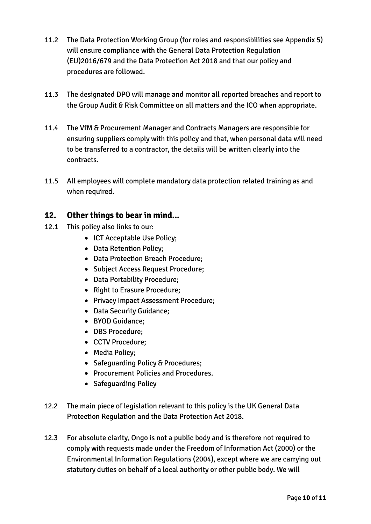- 11.2 The Data Protection Working Group (for roles and responsibilities see Appendix 5) will ensure compliance with the General Data Protection Regulation (EU)2016/679 and the Data Protection Act 2018 and that our policy and procedures are followed.
- 11.3 The designated DPO will manage and monitor all reported breaches and report to the Group Audit & Risk Committee on all matters and the ICO when appropriate.
- 11.4 The VfM & Procurement Manager and Contracts Managers are responsible for ensuring suppliers comply with this policy and that, when personal data will need to be transferred to a contractor, the details will be written clearly into the contracts.
- 11.5 All employees will complete mandatory data protection related training as and when required.

# **12. Other things to bear in mind...**

- 12.1 This policy also links to our:
	- ICT Acceptable Use Policy;
	- Data Retention Policy;
	- Data Protection Breach Procedure;
	- Subject Access Request Procedure;
	- Data Portability Procedure;
	- Right to Erasure Procedure;
	- Privacy Impact Assessment Procedure;
	- Data Security Guidance;
	- BYOD Guidance;
	- DBS Procedure;
	- CCTV Procedure;
	- Media Policy;
	- Safeguarding Policy & Procedures;
	- Procurement Policies and Procedures.
	- Safeguarding Policy
- 12.2 The main piece of legislation relevant to this policy is the UK General Data Protection Regulation and the Data Protection Act 2018.
- 12.3 For absolute clarity, Ongo is not a public body and is therefore not required to comply with requests made under the Freedom of Information Act (2000) or the Environmental Information Regulations (2004), except where we are carrying out statutory duties on behalf of a local authority or other public body. We will